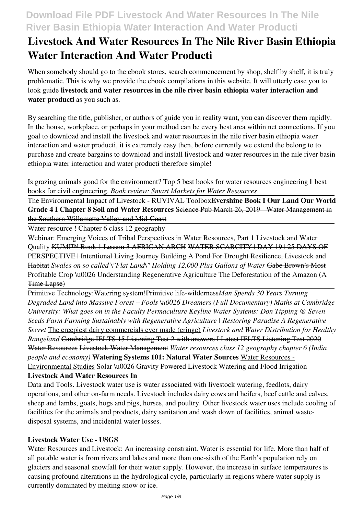# **Livestock And Water Resources In The Nile River Basin Ethiopia Water Interaction And Water Producti**

When somebody should go to the ebook stores, search commencement by shop, shelf by shelf, it is truly problematic. This is why we provide the ebook compilations in this website. It will utterly ease you to look guide **livestock and water resources in the nile river basin ethiopia water interaction and water producti** as you such as.

By searching the title, publisher, or authors of guide you in reality want, you can discover them rapidly. In the house, workplace, or perhaps in your method can be every best area within net connections. If you goal to download and install the livestock and water resources in the nile river basin ethiopia water interaction and water producti, it is extremely easy then, before currently we extend the belong to to purchase and create bargains to download and install livestock and water resources in the nile river basin ethiopia water interaction and water producti therefore simple!

Is grazing animals good for the environment? Top 5 best books for water resources engineering || best books for civil engineering. *Book review: Smart Markets for Water Resources*

The Environmental Impact of Livestock - RUVIVAL Toolbox**Evershine Book I Our Land Our World Grade 4 I Chapter 8 Soil and Water Resources** Science Pub March 26, 2019 - Water Management in the Southern Willamette Valley and Mid-Coast

Water resource ! Chapter 6 class 12 geography

Webinar: Emerging Voices of Tribal Perspectives in Water Resources, Part 1 Livestock and Water Quality KUMI™ Book 1 Lesson 3 AFRICAN ARCH WATER SCARCITY | DAY 19 | 25 DAYS OF PERSPECTIVE | Intentional Living Journey Building A Pond For Drought Resilience, Livestock and Habitat *Swales on so called \"Flat Land\" Holding 12,000 Plus Gallons of Water* Gabe Brown's Most Profitable Crop \u0026 Understanding Regenerative Agriculture The Deforestation of the Amazon (A Time Lapse)

Primitive Technology:Watering system!Primitive life-wilderness*Man Spends 30 Years Turning Degraded Land into Massive Forest – Fools \u0026 Dreamers (Full Documentary) Maths at Cambridge University: What goes on in the Faculty Permaculture Keyline Water Systems: Don Tipping @ Seven Seeds Farm Farming Sustainably with Regenerative Agriculture | Restoring Paradise A Regenerative Secret* The creepiest dairy commercials ever made (cringe) *Livestock and Water Distribution for Healthy Rangeland* Cambridge IELTS 15 Listening Test 2 with answers I Latest IELTS Listening Test 2020 Water Resources Livestock Water Management *Water resources class 12 geography chapter 6 (India people and economy)* **Watering Systems 101: Natural Water Sources** Water Resources - Environmental Studies Solar \u0026 Gravity Powered Livestock Watering and Flood Irrigation

### **Livestock And Water Resources In**

Data and Tools. Livestock water use is water associated with livestock watering, feedlots, dairy operations, and other on-farm needs. Livestock includes dairy cows and heifers, beef cattle and calves, sheep and lambs, goats, hogs and pigs, horses, and poultry. Other livestock water uses include cooling of facilities for the animals and products, dairy sanitation and wash down of facilities, animal wastedisposal systems, and incidental water losses.

### **Livestock Water Use - USGS**

Water Resources and Livestock: An increasing constraint. Water is essential for life. More than half of all potable water is from rivers and lakes and more than one-sixth of the Earth's population rely on glaciers and seasonal snowfall for their water supply. However, the increase in surface temperatures is causing profound alterations in the hydrological cycle, particularly in regions where water supply is currently dominated by melting snow or ice.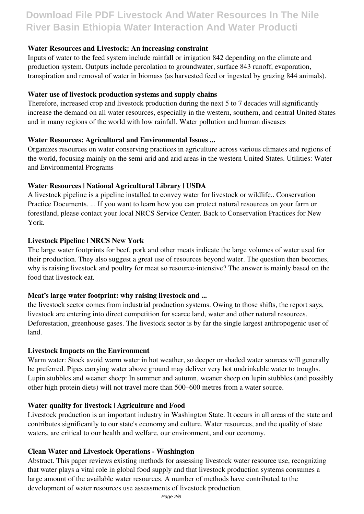### **Water Resources and Livestock: An increasing constraint**

Inputs of water to the feed system include rainfall or irrigation 842 depending on the climate and production system. Outputs include percolation to groundwater, surface 843 runoff, evaporation, transpiration and removal of water in biomass (as harvested feed or ingested by grazing 844 animals).

#### **Water use of livestock production systems and supply chains**

Therefore, increased crop and livestock production during the next 5 to 7 decades will significantly increase the demand on all water resources, especially in the western, southern, and central United States and in many regions of the world with low rainfall. Water pollution and human diseases

### **Water Resources: Agricultural and Environmental Issues ...**

Organizes resources on water conserving practices in agriculture across various climates and regions of the world, focusing mainly on the semi-arid and arid areas in the western United States. Utilities: Water and Environmental Programs

### **Water Resources | National Agricultural Library | USDA**

A livestock pipeline is a pipeline installed to convey water for livestock or wildlife.. Conservation Practice Documents. ... If you want to learn how you can protect natural resources on your farm or forestland, please contact your local NRCS Service Center. Back to Conservation Practices for New York.

#### **Livestock Pipeline | NRCS New York**

The large water footprints for beef, pork and other meats indicate the large volumes of water used for their production. They also suggest a great use of resources beyond water. The question then becomes, why is raising livestock and poultry for meat so resource-intensive? The answer is mainly based on the food that livestock eat.

#### **Meat's large water footprint: why raising livestock and ...**

the livestock sector comes from industrial production systems. Owing to those shifts, the report says, livestock are entering into direct competition for scarce land, water and other natural resources. Deforestation, greenhouse gases. The livestock sector is by far the single largest anthropogenic user of land.

#### **Livestock Impacts on the Environment**

Warm water: Stock avoid warm water in hot weather, so deeper or shaded water sources will generally be preferred. Pipes carrying water above ground may deliver very hot undrinkable water to troughs. Lupin stubbles and weaner sheep: In summer and autumn, weaner sheep on lupin stubbles (and possibly other high protein diets) will not travel more than 500–600 metres from a water source.

#### **Water quality for livestock | Agriculture and Food**

Livestock production is an important industry in Washington State. It occurs in all areas of the state and contributes significantly to our state's economy and culture. Water resources, and the quality of state waters, are critical to our health and welfare, our environment, and our economy.

#### **Clean Water and Livestock Operations - Washington**

Abstract. This paper reviews existing methods for assessing livestock water resource use, recognizing that water plays a vital role in global food supply and that livestock production systems consumes a large amount of the available water resources. A number of methods have contributed to the development of water resources use assessments of livestock production.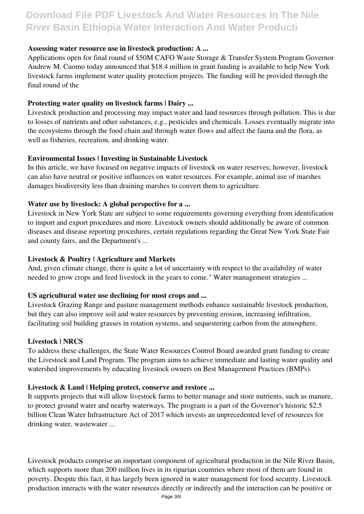#### **Assessing water resource use in livestock production: A ...**

Applications open for final round of \$50M CAFO Waste Storage & Transfer System Program Governor Andrew M. Cuomo today announced that \$18.4 million in grant funding is available to help New York livestock farms implement water quality protection projects. The funding will be provided through the final round of the

### **Protecting water quality on livestock farms | Dairy ...**

Livestock production and processing may impact water and land resources through pollution. This is due to losses of nutrients and other substances, e.g., pesticides and chemicals. Losses eventually migrate into the ecosystems through the food chain and through water flows and affect the fauna and the flora, as well as fisheries, recreation, and drinking water.

### **Environmental Issues | Investing in Sustainable Livestock**

In this article, we have focused on negative impacts of livestock on water reserves; however, livestock can also have neutral or positive influences on water resources. For example, animal use of marshes damages biodiversity less than draining marshes to convert them to agriculture.

### **Water use by livestock: A global perspective for a ...**

Livestock in New York State are subject to some requirements governing everything from identification to import and export procedures and more. Livestock owners should additionally be aware of common diseases and disease reporting procedures, certain regulations regarding the Great New York State Fair and county fairs, and the Department's ...

#### **Livestock & Poultry | Agriculture and Markets**

And, given climate change, there is quite a lot of uncertainty with respect to the availability of water needed to grow crops and feed livestock in the years to come." Water management strategies ...

#### **US agricultural water use declining for most crops and ...**

Livestock Grazing Range and pasture management methods enhance sustainable livestock production, but they can also improve soil and water resources by preventing erosion, increasing infiltration, facilitating soil building grasses in rotation systems, and sequestering carbon from the atmosphere.

#### **Livestock | NRCS**

To address these challenges, the State Water Resources Control Board awarded grant funding to create the Livestock and Land Program. The program aims to achieve immediate and lasting water quality and watershed improvements by educating livestock owners on Best Management Practices (BMPs).

#### **Livestock & Land | Helping protect, conserve and restore ...**

It supports projects that will allow livestock farms to better manage and store nutrients, such as manure, to protect ground water and nearby waterways. The program is a part of the Governor's historic \$2.5 billion Clean Water Infrastructure Act of 2017 which invests an unprecedented level of resources for drinking water, wastewater ...

Livestock products comprise an important component of agricultural production in the Nile River Basin, which supports more than 200 million lives in its riparian countries where most of them are found in poverty. Despite this fact, it has largely been ignored in water management for food security. Livestock production interacts with the water resources directly or indirectly and the interaction can be positive or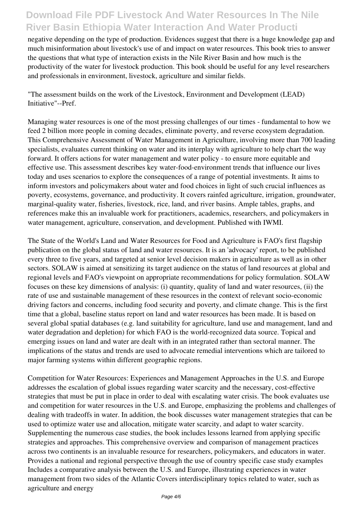negative depending on the type of production. Evidences suggest that there is a huge knowledge gap and much misinformation about livestock's use of and impact on water resources. This book tries to answer the questions that what type of interaction exists in the Nile River Basin and how much is the productivity of the water for livestock production. This book should be useful for any level researchers and professionals in environment, livestock, agriculture and similar fields.

"The assessment builds on the work of the Livestock, Environment and Development (LEAD) Initiative"--Pref.

Managing water resources is one of the most pressing challenges of our times - fundamental to how we feed 2 billion more people in coming decades, eliminate poverty, and reverse ecosystem degradation. This Comprehensive Assessment of Water Management in Agriculture, involving more than 700 leading specialists, evaluates current thinking on water and its interplay with agriculture to help chart the way forward. It offers actions for water management and water policy - to ensure more equitable and effective use. This assessment describes key water-food-environment trends that influence our lives today and uses scenarios to explore the consequences of a range of potential investments. It aims to inform investors and policymakers about water and food choices in light of such crucial influences as poverty, ecosystems, governance, and productivity. It covers rainfed agriculture, irrigation, groundwater, marginal-quality water, fisheries, livestock, rice, land, and river basins. Ample tables, graphs, and references make this an invaluable work for practitioners, academics, researchers, and policymakers in water management, agriculture, conservation, and development. Published with IWMI.

The State of the World's Land and Water Resources for Food and Agriculture is FAO's first flagship publication on the global status of land and water resources. It is an 'advocacy' report, to be published every three to five years, and targeted at senior level decision makers in agriculture as well as in other sectors. SOLAW is aimed at sensitizing its target audience on the status of land resources at global and regional levels and FAO's viewpoint on appropriate recommendations for policy formulation. SOLAW focuses on these key dimensions of analysis: (i) quantity, quality of land and water resources, (ii) the rate of use and sustainable management of these resources in the context of relevant socio-economic driving factors and concerns, including food security and poverty, and climate change. This is the first time that a global, baseline status report on land and water resources has been made. It is based on several global spatial databases (e.g. land suitability for agriculture, land use and management, land and water degradation and depletion) for which FAO is the world-recognized data source. Topical and emerging issues on land and water are dealt with in an integrated rather than sectoral manner. The implications of the status and trends are used to advocate remedial interventions which are tailored to major farming systems within different geographic regions.

Competition for Water Resources: Experiences and Management Approaches in the U.S. and Europe addresses the escalation of global issues regarding water scarcity and the necessary, cost-effective strategies that must be put in place in order to deal with escalating water crisis. The book evaluates use and competition for water resources in the U.S. and Europe, emphasizing the problems and challenges of dealing with tradeoffs in water. In addition, the book discusses water management strategies that can be used to optimize water use and allocation, mitigate water scarcity, and adapt to water scarcity. Supplementing the numerous case studies, the book includes lessons learned from applying specific strategies and approaches. This comprehensive overview and comparison of management practices across two continents is an invaluable resource for researchers, policymakers, and educators in water. Provides a national and regional perspective through the use of country specific case study examples Includes a comparative analysis between the U.S. and Europe, illustrating experiences in water management from two sides of the Atlantic Covers interdisciplinary topics related to water, such as agriculture and energy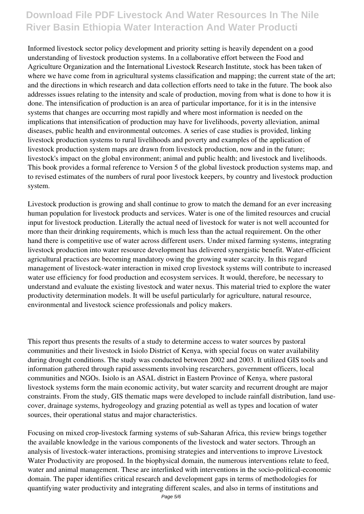Informed livestock sector policy development and priority setting is heavily dependent on a good understanding of livestock production systems. In a collaborative effort between the Food and Agriculture Organization and the International Livestock Research Institute, stock has been taken of where we have come from in agricultural systems classification and mapping; the current state of the art; and the directions in which research and data collection efforts need to take in the future. The book also addresses issues relating to the intensity and scale of production, moving from what is done to how it is done. The intensification of production is an area of particular importance, for it is in the intensive systems that changes are occurring most rapidly and where most information is needed on the implications that intensification of production may have for livelihoods, poverty alleviation, animal diseases, public health and environmental outcomes. A series of case studies is provided, linking livestock production systems to rural livelihoods and poverty and examples of the application of livestock production system maps are drawn from livestock production, now and in the future; livestock's impact on the global environment; animal and public health; and livestock and livelihoods. This book provides a formal reference to Version 5 of the global livestock production systems map, and to revised estimates of the numbers of rural poor livestock keepers, by country and livestock production system.

Livestock production is growing and shall continue to grow to match the demand for an ever increasing human population for livestock products and services. Water is one of the limited resources and crucial input for livestock production. Literally the actual need of livestock for water is not well accounted for more than their drinking requirements, which is much less than the actual requirement. On the other hand there is competitive use of water across different users. Under mixed farming systems, integrating livestock production into water resource development has delivered synergistic benefit. Water-efficient agricultural practices are becoming mandatory owing the growing water scarcity. In this regard management of livestock-water interaction in mixed crop livestock systems will contribute to increased water use efficiency for food production and ecosystem services. It would, therefore, be necessary to understand and evaluate the existing livestock and water nexus. This material tried to explore the water productivity determination models. It will be useful particularly for agriculture, natural resource, environmental and livestock science professionals and policy makers.

This report thus presents the results of a study to determine access to water sources by pastoral communities and their livestock in Isiolo District of Kenya, with special focus on water availability during drought conditions. The study was conducted between 2002 and 2003. It utilized GIS tools and information gathered through rapid assessments involving researchers, government officers, local communities and NGOs. Isiolo is an ASAL district in Eastern Province of Kenya, where pastoral livestock systems form the main economic activity, but water scarcity and recurrent drought are major constraints. From the study, GIS thematic maps were developed to include rainfall distribution, land usecover, drainage systems, hydrogeology and grazing potential as well as types and location of water sources, their operational status and major characteristics.

Focusing on mixed crop-livestock farming systems of sub-Saharan Africa, this review brings together the available knowledge in the various components of the livestock and water sectors. Through an analysis of livestock-water interactions, promising strategies and interventions to improve Livestock Water Productivity are proposed. In the biophysical domain, the numerous interventions relate to feed, water and animal management. These are interlinked with interventions in the socio-political-economic domain. The paper identifies critical research and development gaps in terms of methodologies for quantifying water productivity and integrating different scales, and also in terms of institutions and